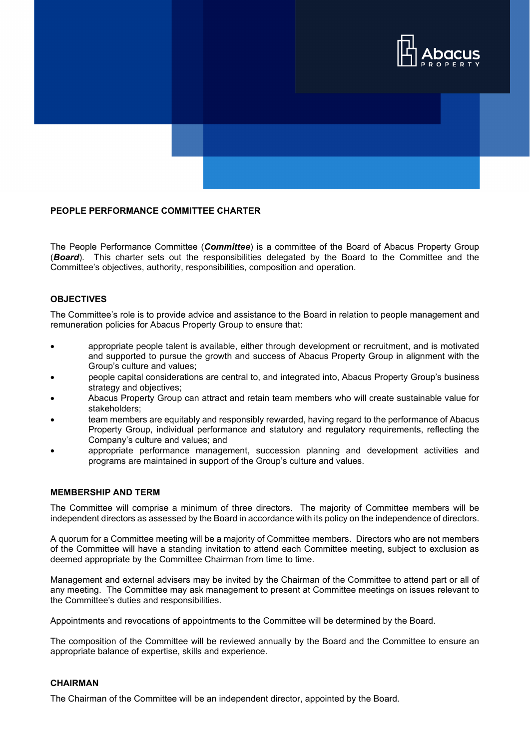

# **PEOPLE PERFORMANCE COMMITTEE CHARTER**

The People Performance Committee (*Committee*) is a committee of the Board of Abacus Property Group (*Board*). This charter sets out the responsibilities delegated by the Board to the Committee and the Committee's objectives, authority, responsibilities, composition and operation.

#### **OBJECTIVES**

The Committee's role is to provide advice and assistance to the Board in relation to people management and remuneration policies for Abacus Property Group to ensure that:

- appropriate people talent is available, either through development or recruitment, and is motivated and supported to pursue the growth and success of Abacus Property Group in alignment with the Group's culture and values;
- people capital considerations are central to, and integrated into, Abacus Property Group's business strategy and objectives;
- Abacus Property Group can attract and retain team members who will create sustainable value for stakeholders;
- team members are equitably and responsibly rewarded, having regard to the performance of Abacus Property Group, individual performance and statutory and regulatory requirements, reflecting the Company's culture and values; and
- appropriate performance management, succession planning and development activities and programs are maintained in support of the Group's culture and values.

#### **MEMBERSHIP AND TERM**

The Committee will comprise a minimum of three directors. The majority of Committee members will be independent directors as assessed by the Board in accordance with its policy on the independence of directors.

A quorum for a Committee meeting will be a majority of Committee members. Directors who are not members of the Committee will have a standing invitation to attend each Committee meeting, subject to exclusion as deemed appropriate by the Committee Chairman from time to time.

Management and external advisers may be invited by the Chairman of the Committee to attend part or all of any meeting. The Committee may ask management to present at Committee meetings on issues relevant to the Committee's duties and responsibilities.

Appointments and revocations of appointments to the Committee will be determined by the Board.

The composition of the Committee will be reviewed annually by the Board and the Committee to ensure an appropriate balance of expertise, skills and experience.

# **CHAIRMAN**

The Chairman of the Committee will be an independent director, appointed by the Board.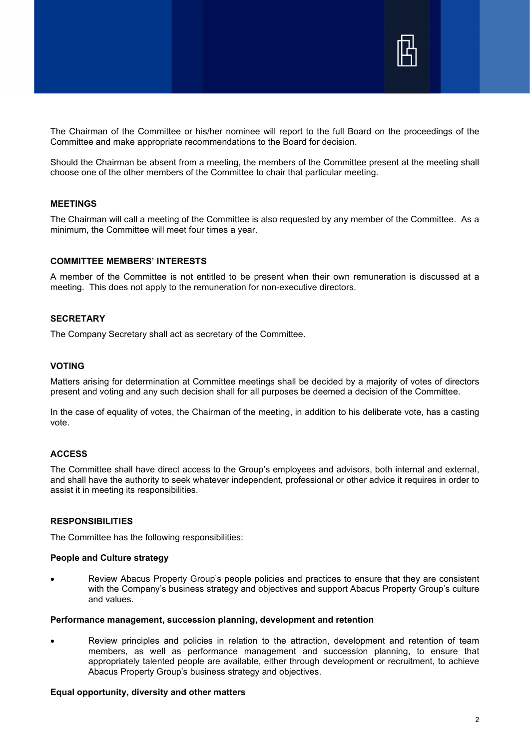

The Chairman of the Committee or his/her nominee will report to the full Board on the proceedings of the Committee and make appropriate recommendations to the Board for decision.

Should the Chairman be absent from a meeting, the members of the Committee present at the meeting shall choose one of the other members of the Committee to chair that particular meeting.

#### **MEETINGS**

The Chairman will call a meeting of the Committee is also requested by any member of the Committee. As a minimum, the Committee will meet four times a year.

# **COMMITTEE MEMBERS' INTERESTS**

A member of the Committee is not entitled to be present when their own remuneration is discussed at a meeting. This does not apply to the remuneration for non-executive directors.

# **SECRETARY**

The Company Secretary shall act as secretary of the Committee.

# **VOTING**

Matters arising for determination at Committee meetings shall be decided by a majority of votes of directors present and voting and any such decision shall for all purposes be deemed a decision of the Committee.

In the case of equality of votes, the Chairman of the meeting, in addition to his deliberate vote, has a casting vote.

# **ACCESS**

The Committee shall have direct access to the Group's employees and advisors, both internal and external, and shall have the authority to seek whatever independent, professional or other advice it requires in order to assist it in meeting its responsibilities.

#### **RESPONSIBILITIES**

The Committee has the following responsibilities:

#### **People and Culture strategy**

• Review Abacus Property Group's people policies and practices to ensure that they are consistent with the Company's business strategy and objectives and support Abacus Property Group's culture and values.

#### **Performance management, succession planning, development and retention**

• Review principles and policies in relation to the attraction, development and retention of team members, as well as performance management and succession planning, to ensure that appropriately talented people are available, either through development or recruitment, to achieve Abacus Property Group's business strategy and objectives.

#### **Equal opportunity, diversity and other matters**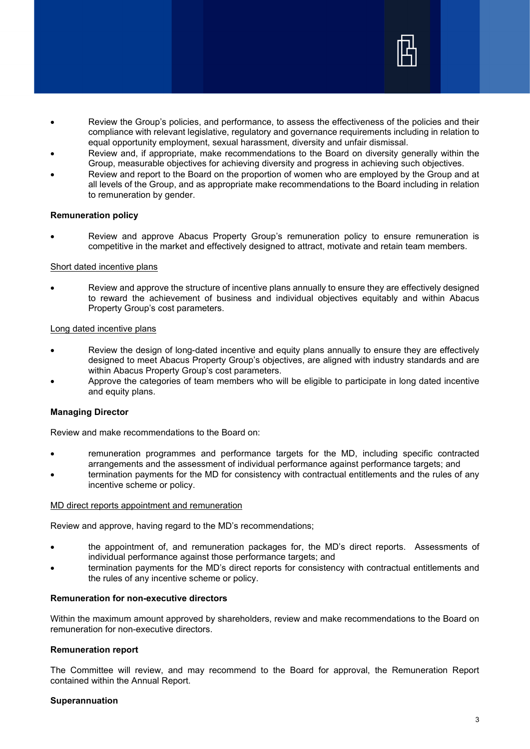

- Review the Group's policies, and performance, to assess the effectiveness of the policies and their compliance with relevant legislative, regulatory and governance requirements including in relation to equal opportunity employment, sexual harassment, diversity and unfair dismissal.
- Review and, if appropriate, make recommendations to the Board on diversity generally within the Group, measurable objectives for achieving diversity and progress in achieving such objectives.
- Review and report to the Board on the proportion of women who are employed by the Group and at all levels of the Group, and as appropriate make recommendations to the Board including in relation to remuneration by gender.

#### **Remuneration policy**

• Review and approve Abacus Property Group's remuneration policy to ensure remuneration is competitive in the market and effectively designed to attract, motivate and retain team members.

### Short dated incentive plans

• Review and approve the structure of incentive plans annually to ensure they are effectively designed to reward the achievement of business and individual objectives equitably and within Abacus Property Group's cost parameters.

# Long dated incentive plans

- Review the design of long-dated incentive and equity plans annually to ensure they are effectively designed to meet Abacus Property Group's objectives, are aligned with industry standards and are within Abacus Property Group's cost parameters.
- Approve the categories of team members who will be eligible to participate in long dated incentive and equity plans.

# **Managing Director**

Review and make recommendations to the Board on:

- remuneration programmes and performance targets for the MD, including specific contracted arrangements and the assessment of individual performance against performance targets; and
- termination payments for the MD for consistency with contractual entitlements and the rules of any incentive scheme or policy.

#### MD direct reports appointment and remuneration

Review and approve, having regard to the MD's recommendations;

- the appointment of, and remuneration packages for, the MD's direct reports. Assessments of individual performance against those performance targets; and
- termination payments for the MD's direct reports for consistency with contractual entitlements and the rules of any incentive scheme or policy.

# **Remuneration for non-executive directors**

Within the maximum amount approved by shareholders, review and make recommendations to the Board on remuneration for non-executive directors.

#### **Remuneration report**

The Committee will review, and may recommend to the Board for approval, the Remuneration Report contained within the Annual Report.

#### **Superannuation**